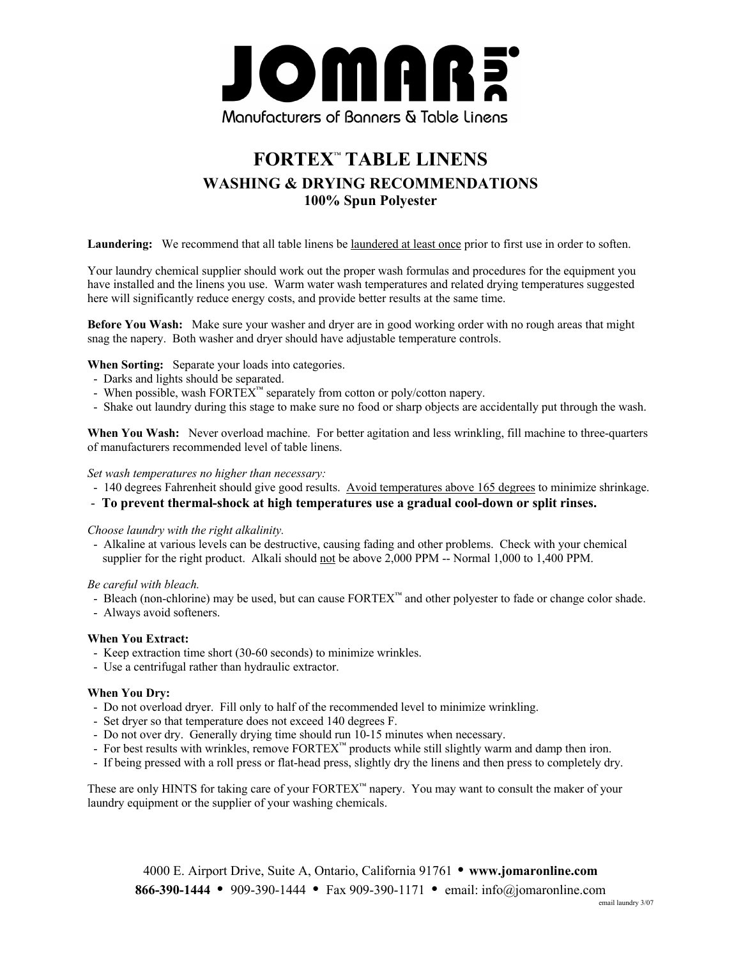

## **FORTEX**™ **TABLE LINENS WASHING & DRYING RECOMMENDATIONS 100% Spun Polyester**

**Laundering:** We recommend that all table linens be laundered at least once prior to first use in order to soften.

Your laundry chemical supplier should work out the proper wash formulas and procedures for the equipment you have installed and the linens you use. Warm water wash temperatures and related drying temperatures suggested here will significantly reduce energy costs, and provide better results at the same time.

**Before You Wash:** Make sure your washer and dryer are in good working order with no rough areas that might snag the napery. Both washer and dryer should have adjustable temperature controls.

**When Sorting:** Separate your loads into categories.

- Darks and lights should be separated.
- When possible, wash FORTEX™ separately from cotton or poly/cotton napery.
- Shake out laundry during this stage to make sure no food or sharp objects are accidentally put through the wash.

**When You Wash:** Never overload machine. For better agitation and less wrinkling, fill machine to three-quarters of manufacturers recommended level of table linens.

#### *Set wash temperatures no higher than necessary:*

- 140 degrees Fahrenheit should give good results. Avoid temperatures above 165 degrees to minimize shrinkage.
- **To prevent thermal-shock at high temperatures use a gradual cool-down or split rinses.**

#### *Choose laundry with the right alkalinity.*

 - Alkaline at various levels can be destructive, causing fading and other problems. Check with your chemical supplier for the right product. Alkali should not be above 2,000 PPM -- Normal 1,000 to 1,400 PPM.

*Be careful with bleach.*

- Bleach (non-chlorine) may be used, but can cause  $FORTEX^M$  and other polyester to fade or change color shade.

- Always avoid softeners.

#### **When You Extract:**

- Keep extraction time short (30-60 seconds) to minimize wrinkles.
- Use a centrifugal rather than hydraulic extractor.

#### **When You Dry:**

- Do not overload dryer. Fill only to half of the recommended level to minimize wrinkling.
- Set dryer so that temperature does not exceed 140 degrees F.
- Do not over dry. Generally drying time should run 10-15 minutes when necessary.
- For best results with wrinkles, remove FORTEX™ products while still slightly warm and damp then iron.
- If being pressed with a roll press or flat-head press, slightly dry the linens and then press to completely dry.

These are only HINTS for taking care of your FORTEX™ napery. You may want to consult the maker of your laundry equipment or the supplier of your washing chemicals.